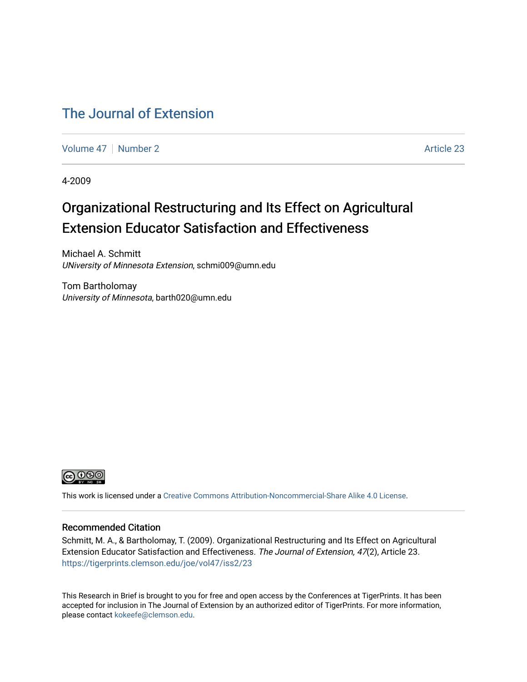### [The Journal of Extension](https://tigerprints.clemson.edu/joe)

[Volume 47](https://tigerprints.clemson.edu/joe/vol47) | [Number 2](https://tigerprints.clemson.edu/joe/vol47/iss2) Article 23

4-2009

## Organizational Restructuring and Its Effect on Agricultural Extension Educator Satisfaction and Effectiveness

Michael A. Schmitt UNiversity of Minnesota Extension, schmi009@umn.edu

Tom Bartholomay University of Minnesota, barth020@umn.edu



This work is licensed under a [Creative Commons Attribution-Noncommercial-Share Alike 4.0 License.](https://creativecommons.org/licenses/by-nc-sa/4.0/)

#### Recommended Citation

Schmitt, M. A., & Bartholomay, T. (2009). Organizational Restructuring and Its Effect on Agricultural Extension Educator Satisfaction and Effectiveness. The Journal of Extension, 47(2), Article 23. <https://tigerprints.clemson.edu/joe/vol47/iss2/23>

This Research in Brief is brought to you for free and open access by the Conferences at TigerPrints. It has been accepted for inclusion in The Journal of Extension by an authorized editor of TigerPrints. For more information, please contact [kokeefe@clemson.edu](mailto:kokeefe@clemson.edu).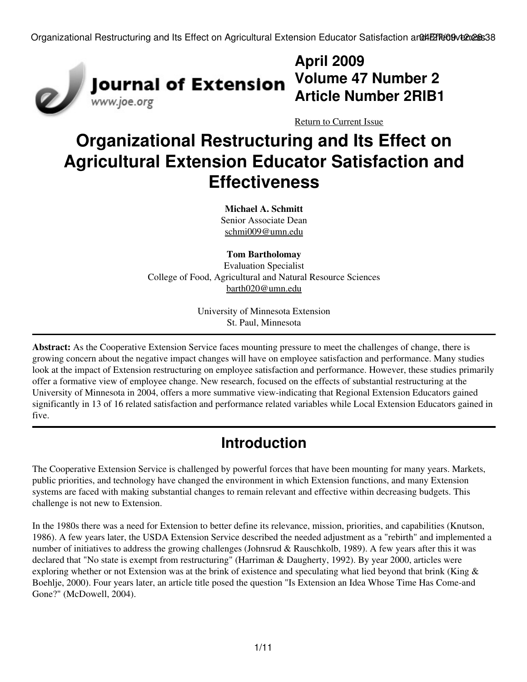

## **April 2009 Volume 47 Number 2 Article Number 2RIB1**

[Return to Current Issue](http://www.joe.org:80/joe/2009april/)

# **Organizational Restructuring and Its Effect on Agricultural Extension Educator Satisfaction and Effectiveness**

**Michael A. Schmitt** Senior Associate Dean [schmi009@umn.edu](mailto:schmi009@umn.edu)

**Tom Bartholomay**

Evaluation Specialist College of Food, Agricultural and Natural Resource Sciences [barth020@umn.edu](mailto:barth020@umn.edu)

> University of Minnesota Extension St. Paul, Minnesota

**Abstract:** As the Cooperative Extension Service faces mounting pressure to meet the challenges of change, there is growing concern about the negative impact changes will have on employee satisfaction and performance. Many studies look at the impact of Extension restructuring on employee satisfaction and performance. However, these studies primarily offer a formative view of employee change. New research, focused on the effects of substantial restructuring at the University of Minnesota in 2004, offers a more summative view-indicating that Regional Extension Educators gained significantly in 13 of 16 related satisfaction and performance related variables while Local Extension Educators gained in five.

## **Introduction**

The Cooperative Extension Service is challenged by powerful forces that have been mounting for many years. Markets, public priorities, and technology have changed the environment in which Extension functions, and many Extension systems are faced with making substantial changes to remain relevant and effective within decreasing budgets. This challenge is not new to Extension.

In the 1980s there was a need for Extension to better define its relevance, mission, priorities, and capabilities (Knutson, 1986). A few years later, the USDA Extension Service described the needed adjustment as a "rebirth" and implemented a number of initiatives to address the growing challenges (Johnsrud & Rauschkolb, 1989). A few years after this it was declared that "No state is exempt from restructuring" (Harriman & Daugherty, 1992). By year 2000, articles were exploring whether or not Extension was at the brink of existence and speculating what lied beyond that brink (King & Boehlje, 2000). Four years later, an article title posed the question "Is Extension an Idea Whose Time Has Come-and Gone?" (McDowell, 2004).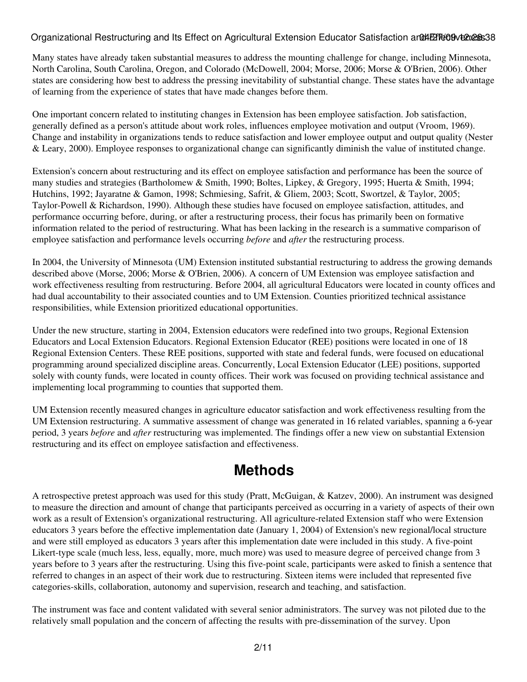#### Organizational Restructuring and Its Effect on Agricultural Extension Educator Satisfaction and EFT609 12:28:38

Many states have already taken substantial measures to address the mounting challenge for change, including Minnesota, North Carolina, South Carolina, Oregon, and Colorado (McDowell, 2004; Morse, 2006; Morse & O'Brien, 2006). Other states are considering how best to address the pressing inevitability of substantial change. These states have the advantage of learning from the experience of states that have made changes before them.

One important concern related to instituting changes in Extension has been employee satisfaction. Job satisfaction, generally defined as a person's attitude about work roles, influences employee motivation and output (Vroom, 1969). Change and instability in organizations tends to reduce satisfaction and lower employee output and output quality (Nester & Leary, 2000). Employee responses to organizational change can significantly diminish the value of instituted change.

Extension's concern about restructuring and its effect on employee satisfaction and performance has been the source of many studies and strategies (Bartholomew & Smith, 1990; Boltes, Lipkey, & Gregory, 1995; Huerta & Smith, 1994; Hutchins, 1992; Jayaratne & Gamon, 1998; Schmiesing, Safrit, & Gliem, 2003; Scott, Swortzel, & Taylor, 2005; Taylor-Powell & Richardson, 1990). Although these studies have focused on employee satisfaction, attitudes, and performance occurring before, during, or after a restructuring process, their focus has primarily been on formative information related to the period of restructuring. What has been lacking in the research is a summative comparison of employee satisfaction and performance levels occurring *before* and *after* the restructuring process.

In 2004, the University of Minnesota (UM) Extension instituted substantial restructuring to address the growing demands described above (Morse, 2006; Morse & O'Brien, 2006). A concern of UM Extension was employee satisfaction and work effectiveness resulting from restructuring. Before 2004, all agricultural Educators were located in county offices and had dual accountability to their associated counties and to UM Extension. Counties prioritized technical assistance responsibilities, while Extension prioritized educational opportunities.

Under the new structure, starting in 2004, Extension educators were redefined into two groups, Regional Extension Educators and Local Extension Educators. Regional Extension Educator (REE) positions were located in one of 18 Regional Extension Centers. These REE positions, supported with state and federal funds, were focused on educational programming around specialized discipline areas. Concurrently, Local Extension Educator (LEE) positions, supported solely with county funds, were located in county offices. Their work was focused on providing technical assistance and implementing local programming to counties that supported them.

UM Extension recently measured changes in agriculture educator satisfaction and work effectiveness resulting from the UM Extension restructuring. A summative assessment of change was generated in 16 related variables, spanning a 6-year period, 3 years *before* and *after* restructuring was implemented. The findings offer a new view on substantial Extension restructuring and its effect on employee satisfaction and effectiveness.

## **Methods**

A retrospective pretest approach was used for this study (Pratt, McGuigan, & Katzev, 2000). An instrument was designed to measure the direction and amount of change that participants perceived as occurring in a variety of aspects of their own work as a result of Extension's organizational restructuring. All agriculture-related Extension staff who were Extension educators 3 years before the effective implementation date (January 1, 2004) of Extension's new regional/local structure and were still employed as educators 3 years after this implementation date were included in this study. A five-point Likert-type scale (much less, less, equally, more, much more) was used to measure degree of perceived change from 3 years before to 3 years after the restructuring. Using this five-point scale, participants were asked to finish a sentence that referred to changes in an aspect of their work due to restructuring. Sixteen items were included that represented five categories-skills, collaboration, autonomy and supervision, research and teaching, and satisfaction.

The instrument was face and content validated with several senior administrators. The survey was not piloted due to the relatively small population and the concern of affecting the results with pre-dissemination of the survey. Upon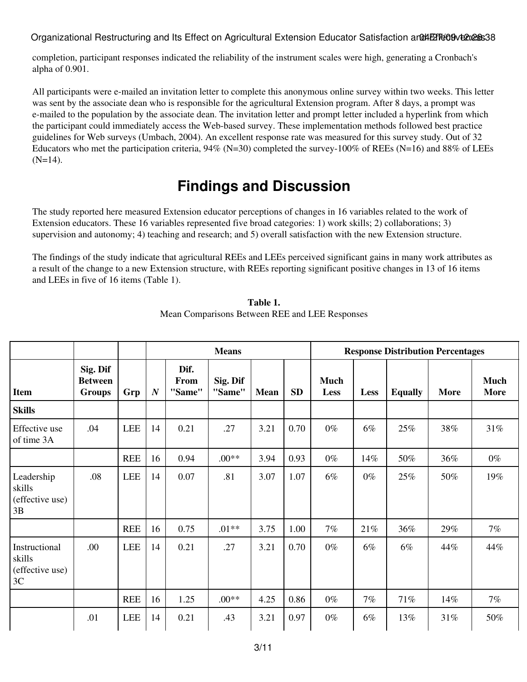Organizational Restructuring and Its Effect on Agricultural Extension Educator Satisfaction and EFT 609 veness

completion, participant responses indicated the reliability of the instrument scales were high, generating a Cronbach's alpha of 0.901.

All participants were e-mailed an invitation letter to complete this anonymous online survey within two weeks. This letter was sent by the associate dean who is responsible for the agricultural Extension program. After 8 days, a prompt was e-mailed to the population by the associate dean. The invitation letter and prompt letter included a hyperlink from which the participant could immediately access the Web-based survey. These implementation methods followed best practice guidelines for Web surveys (Umbach, 2004). An excellent response rate was measured for this survey study. Out of 32 Educators who met the participation criteria,  $94\%$  (N=30) completed the survey-100% of REEs (N=16) and 88% of LEEs  $(N=14)$ .

## **Findings and Discussion**

The study reported here measured Extension educator perceptions of changes in 16 variables related to the work of Extension educators. These 16 variables represented five broad categories: 1) work skills; 2) collaborations; 3) supervision and autonomy; 4) teaching and research; and 5) overall satisfaction with the new Extension structure.

The findings of the study indicate that agricultural REEs and LEEs perceived significant gains in many work attributes as a result of the change to a new Extension structure, with REEs reporting significant positive changes in 13 of 16 items and LEEs in five of 16 items (Table 1).

|                                                  |                                             |            |                  |                        | <b>Means</b>       |             |           | <b>Response Distribution Percentages</b> |       |                |             |                            |  |
|--------------------------------------------------|---------------------------------------------|------------|------------------|------------------------|--------------------|-------------|-----------|------------------------------------------|-------|----------------|-------------|----------------------------|--|
| <b>Item</b>                                      | Sig. Dif<br><b>Between</b><br><b>Groups</b> | Grp        | $\boldsymbol{N}$ | Dif.<br>From<br>"Same" | Sig. Dif<br>"Same" | <b>Mean</b> | <b>SD</b> | <b>Much</b><br><b>Less</b>               | Less  | <b>Equally</b> | <b>More</b> | <b>Much</b><br><b>More</b> |  |
| <b>Skills</b>                                    |                                             |            |                  |                        |                    |             |           |                                          |       |                |             |                            |  |
| Effective use<br>of time 3A                      | .04                                         | <b>LEE</b> | 14               | 0.21                   | .27                | 3.21        | 0.70      | $0\%$                                    | 6%    | 25%            | 38%         | 31%                        |  |
|                                                  |                                             | <b>REE</b> | 16               | 0.94                   | $.00**$            | 3.94        | 0.93      | $0\%$                                    | 14%   | 50%            | 36%         | $0\%$                      |  |
| Leadership<br>skills<br>(effective use)<br>3B    | .08                                         | <b>LEE</b> | 14               | 0.07                   | .81                | 3.07        | 1.07      | 6%                                       | $0\%$ | 25%            | 50%         | 19%                        |  |
|                                                  |                                             | <b>REE</b> | 16               | 0.75                   | $.01**$            | 3.75        | 1.00      | 7%                                       | 21%   | 36%            | 29%         | $7\%$                      |  |
| Instructional<br>skills<br>(effective use)<br>3C | .00.                                        | <b>LEE</b> | 14               | 0.21                   | .27                | 3.21        | 0.70      | $0\%$                                    | 6%    | 6%             | 44%         | 44%                        |  |
|                                                  |                                             | <b>REE</b> | 16               | 1.25                   | $.00**$            | 4.25        | 0.86      | $0\%$                                    | 7%    | 71%            | 14%         | 7%                         |  |
|                                                  | .01                                         | LEE        | 14               | 0.21                   | .43                | 3.21        | 0.97      | $0\%$                                    | 6%    | 13%            | 31%         | 50%                        |  |

**Table 1.** Mean Comparisons Between REE and LEE Responses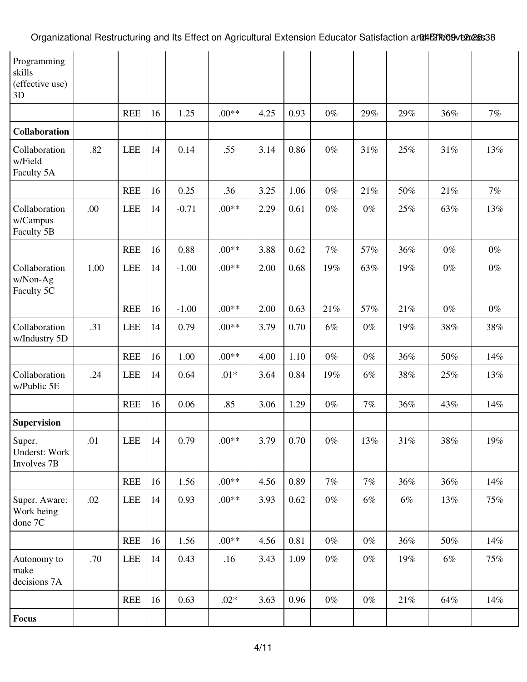| Programming<br>skills<br>(effective use)<br>3D |      |            |    |         |         |      |      |       |       |       |        |       |
|------------------------------------------------|------|------------|----|---------|---------|------|------|-------|-------|-------|--------|-------|
|                                                |      | <b>REE</b> | 16 | 1.25    | $.00**$ | 4.25 | 0.93 | $0\%$ | 29%   | 29%   | 36%    | 7%    |
| <b>Collaboration</b>                           |      |            |    |         |         |      |      |       |       |       |        |       |
| Collaboration<br>w/Field<br>Faculty 5A         | .82  | <b>LEE</b> | 14 | 0.14    | .55     | 3.14 | 0.86 | $0\%$ | 31%   | 25%   | 31%    | 13%   |
|                                                |      | <b>REE</b> | 16 | 0.25    | .36     | 3.25 | 1.06 | $0\%$ | 21%   | 50%   | 21%    | 7%    |
| Collaboration<br>w/Campus<br>Faculty 5B        | .00  | <b>LEE</b> | 14 | $-0.71$ | $.00**$ | 2.29 | 0.61 | $0\%$ | $0\%$ | 25%   | 63%    | 13%   |
|                                                |      | <b>REE</b> | 16 | 0.88    | $.00**$ | 3.88 | 0.62 | 7%    | 57%   | 36%   | $0\%$  | $0\%$ |
| Collaboration<br>w/Non-Ag<br>Faculty 5C        | 1.00 | <b>LEE</b> | 14 | $-1.00$ | $.00**$ | 2.00 | 0.68 | 19%   | 63%   | 19%   | $0\%$  | $0\%$ |
|                                                |      | <b>REE</b> | 16 | $-1.00$ | $.00**$ | 2.00 | 0.63 | 21%   | 57%   | 21%   | $0\%$  | $0\%$ |
| Collaboration<br>w/Industry 5D                 | .31  | <b>LEE</b> | 14 | 0.79    | $.00**$ | 3.79 | 0.70 | 6%    | $0\%$ | 19%   | 38%    | 38%   |
|                                                |      | <b>REE</b> | 16 | 1.00    | $.00**$ | 4.00 | 1.10 | $0\%$ | $0\%$ | 36%   | 50%    | 14%   |
| Collaboration<br>w/Public 5E                   | .24  | <b>LEE</b> | 14 | 0.64    | $.01*$  | 3.64 | 0.84 | 19%   | $6\%$ | 38%   | 25%    | 13%   |
|                                                |      | <b>REE</b> | 16 | 0.06    | .85     | 3.06 | 1.29 | $0\%$ | 7%    | 36%   | 43%    | 14%   |
| <b>Supervision</b>                             |      |            |    |         |         |      |      |       |       |       |        |       |
| Super.<br>Underst: Work<br>Involves 7B         | .01  | LEE        | 14 | 0.79    | $.00**$ | 3.79 | 0.70 | $0\%$ | 13%   | 31%   | 38%    | 19%   |
|                                                |      | <b>REE</b> | 16 | 1.56    | $.00**$ | 4.56 | 0.89 | $7\%$ | $7\%$ | 36%   | 36%    | 14%   |
| Super. Aware:<br>Work being<br>done 7C         | .02  | LEE        | 14 | 0.93    | $.00**$ | 3.93 | 0.62 | $0\%$ | $6\%$ | $6\%$ | 13%    | 75%   |
|                                                |      | <b>REE</b> | 16 | 1.56    | $.00**$ | 4.56 | 0.81 | $0\%$ | $0\%$ | 36%   | $50\%$ | 14%   |
| Autonomy to<br>make<br>decisions 7A            | .70  | LEE        | 14 | 0.43    | .16     | 3.43 | 1.09 | $0\%$ | $0\%$ | 19%   | $6\%$  | 75%   |
|                                                |      | <b>REE</b> | 16 | 0.63    | $.02*$  | 3.63 | 0.96 | $0\%$ | $0\%$ | 21%   | 64%    | 14%   |
| <b>Focus</b>                                   |      |            |    |         |         |      |      |       |       |       |        |       |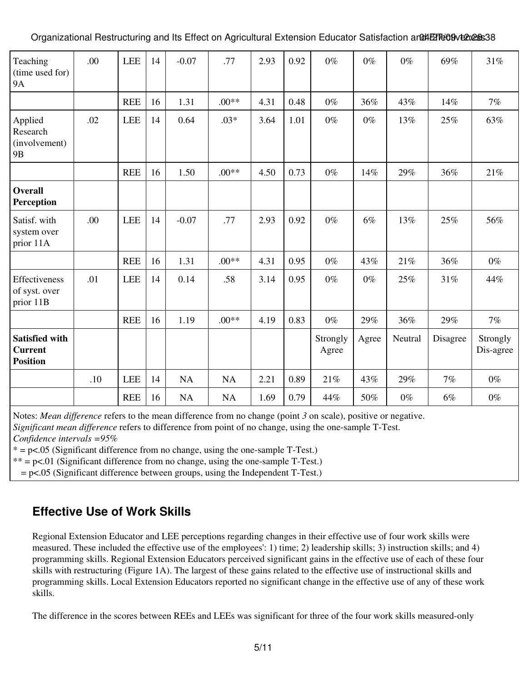Organizational Restructuring and Its Effect on Agricultural Extension Educator Satisfaction and AET609 12:38:38

| Teaching<br>(time used for)<br><b>9A</b>                   | .00 | <b>LEE</b> | 14 | $-0.07$   | .77       | 2.93 | 0.92 | $0\%$             | $0\%$ | $0\%$   | 69%      | 31%                   |
|------------------------------------------------------------|-----|------------|----|-----------|-----------|------|------|-------------------|-------|---------|----------|-----------------------|
|                                                            |     | <b>REE</b> | 16 | 1.31      | $.00**$   | 4.31 | 0.48 | $0\%$             | 36%   | 43%     | 14%      | 7%                    |
| Applied<br>Research<br>(involvement)<br>9 <sub>B</sub>     | .02 | LEE        | 14 | 0.64      | $.03*$    | 3.64 | 1.01 | $0\%$             | $0\%$ | 13%     | 25%      | 63%                   |
|                                                            |     | <b>REE</b> | 16 | 1.50      | $.00**$   | 4.50 | 0.73 | $0\%$             | 14%   | 29%     | 36%      | 21%                   |
| <b>Overall</b><br>Perception                               |     |            |    |           |           |      |      |                   |       |         |          |                       |
| Satisf. with<br>system over<br>prior 11A                   | .00 | <b>LEE</b> | 14 | $-0.07$   | .77       | 2.93 | 0.92 | $0\%$             | 6%    | 13%     | 25%      | 56%                   |
|                                                            |     | <b>REE</b> | 16 | 1.31      | $.00**$   | 4.31 | 0.95 | $0\%$             | 43%   | 21%     | 36%      | $0\%$                 |
| Effectiveness<br>of syst. over<br>prior 11B                | .01 | <b>LEE</b> | 14 | 0.14      | .58       | 3.14 | 0.95 | $0\%$             | $0\%$ | 25%     | 31%      | 44%                   |
|                                                            |     | <b>REE</b> | 16 | 1.19      | $.00**$   | 4.19 | 0.83 | $0\%$             | 29%   | 36%     | 29%      | 7%                    |
| <b>Satisfied with</b><br><b>Current</b><br><b>Position</b> |     |            |    |           |           |      |      | Strongly<br>Agree | Agree | Neutral | Disagree | Strongly<br>Dis-agree |
|                                                            | .10 | <b>LEE</b> | 14 | <b>NA</b> | <b>NA</b> | 2.21 | 0.89 | 21%               | 43%   | 29%     | 7%       | $0\%$                 |
|                                                            |     | <b>REE</b> | 16 | NA        | NA        | 1.69 | 0.79 | 44%               | 50%   | $0\%$   | 6%       | $0\%$                 |

Notes: *Mean difference* refers to the mean difference from no change (point *3* on scale), positive or negative.

*Significant mean difference* refers to difference from point of no change, using the one-sample T-Test.

*Confidence intervals =95%*

 $* = p \lt 0.05$  (Significant difference from no change, using the one-sample T-Test.)

 $** = p \lt 0.01$  (Significant difference from no change, using the one-sample T-Test.)

 $= p<.05$  (Significant difference between groups, using the Independent T-Test.)

### **Effective Use of Work Skills**

Regional Extension Educator and LEE perceptions regarding changes in their effective use of four work skills were measured. These included the effective use of the employees': 1) time; 2) leadership skills; 3) instruction skills; and 4) programming skills. Regional Extension Educators perceived significant gains in the effective use of each of these four skills with restructuring (Figure 1A). The largest of these gains related to the effective use of instructional skills and programming skills. Local Extension Educators reported no significant change in the effective use of any of these work skills.

The difference in the scores between REEs and LEEs was significant for three of the four work skills measured-only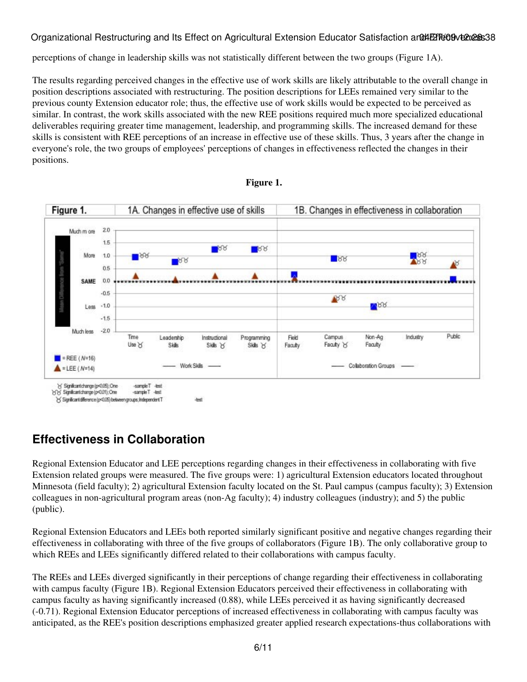#### Organizational Restructuring and Its Effect on Agricultural Extension Educator Satisfaction and EFT609 12:28:38

perceptions of change in leadership skills was not statistically different between the two groups (Figure 1A).

The results regarding perceived changes in the effective use of work skills are likely attributable to the overall change in position descriptions associated with restructuring. The position descriptions for LEEs remained very similar to the previous county Extension educator role; thus, the effective use of work skills would be expected to be perceived as similar. In contrast, the work skills associated with the new REE positions required much more specialized educational deliverables requiring greater time management, leadership, and programming skills. The increased demand for these skills is consistent with REE perceptions of an increase in effective use of these skills. Thus, 3 years after the change in everyone's role, the two groups of employees' perceptions of changes in effectiveness reflected the changes in their positions.





### **Effectiveness in Collaboration**

Regional Extension Educator and LEE perceptions regarding changes in their effectiveness in collaborating with five Extension related groups were measured. The five groups were: 1) agricultural Extension educators located throughout Minnesota (field faculty); 2) agricultural Extension faculty located on the St. Paul campus (campus faculty); 3) Extension colleagues in non-agricultural program areas (non-Ag faculty); 4) industry colleagues (industry); and 5) the public (public).

Regional Extension Educators and LEEs both reported similarly significant positive and negative changes regarding their effectiveness in collaborating with three of the five groups of collaborators (Figure 1B). The only collaborative group to which REEs and LEEs significantly differed related to their collaborations with campus faculty.

The REEs and LEEs diverged significantly in their perceptions of change regarding their effectiveness in collaborating with campus faculty (Figure 1B). Regional Extension Educators perceived their effectiveness in collaborating with campus faculty as having significantly increased (0.88), while LEEs perceived it as having significantly decreased (-0.71). Regional Extension Educator perceptions of increased effectiveness in collaborating with campus faculty was anticipated, as the REE's position descriptions emphasized greater applied research expectations-thus collaborations with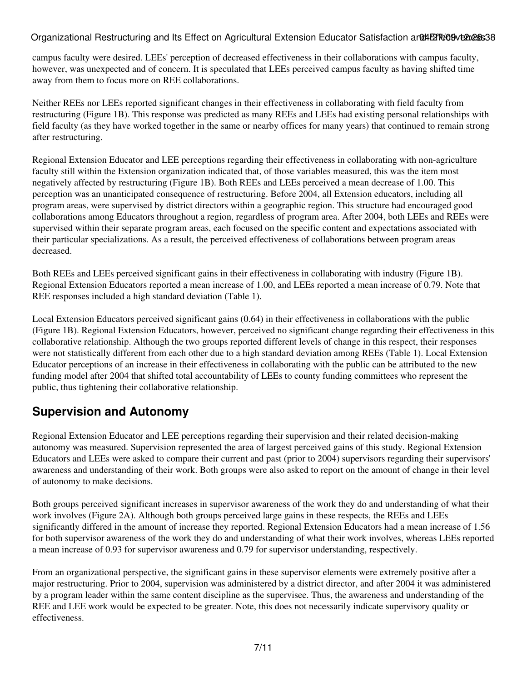#### Organizational Restructuring and Its Effect on Agricultural Extension Educator Satisfaction and Effect extess 38

campus faculty were desired. LEEs' perception of decreased effectiveness in their collaborations with campus faculty, however, was unexpected and of concern. It is speculated that LEEs perceived campus faculty as having shifted time away from them to focus more on REE collaborations.

Neither REEs nor LEEs reported significant changes in their effectiveness in collaborating with field faculty from restructuring (Figure 1B). This response was predicted as many REEs and LEEs had existing personal relationships with field faculty (as they have worked together in the same or nearby offices for many years) that continued to remain strong after restructuring.

Regional Extension Educator and LEE perceptions regarding their effectiveness in collaborating with non-agriculture faculty still within the Extension organization indicated that, of those variables measured, this was the item most negatively affected by restructuring (Figure 1B). Both REEs and LEEs perceived a mean decrease of 1.00. This perception was an unanticipated consequence of restructuring. Before 2004, all Extension educators, including all program areas, were supervised by district directors within a geographic region. This structure had encouraged good collaborations among Educators throughout a region, regardless of program area. After 2004, both LEEs and REEs were supervised within their separate program areas, each focused on the specific content and expectations associated with their particular specializations. As a result, the perceived effectiveness of collaborations between program areas decreased.

Both REEs and LEEs perceived significant gains in their effectiveness in collaborating with industry (Figure 1B). Regional Extension Educators reported a mean increase of 1.00, and LEEs reported a mean increase of 0.79. Note that REE responses included a high standard deviation (Table 1).

Local Extension Educators perceived significant gains (0.64) in their effectiveness in collaborations with the public (Figure 1B). Regional Extension Educators, however, perceived no significant change regarding their effectiveness in this collaborative relationship. Although the two groups reported different levels of change in this respect, their responses were not statistically different from each other due to a high standard deviation among REEs (Table 1). Local Extension Educator perceptions of an increase in their effectiveness in collaborating with the public can be attributed to the new funding model after 2004 that shifted total accountability of LEEs to county funding committees who represent the public, thus tightening their collaborative relationship.

### **Supervision and Autonomy**

Regional Extension Educator and LEE perceptions regarding their supervision and their related decision-making autonomy was measured. Supervision represented the area of largest perceived gains of this study. Regional Extension Educators and LEEs were asked to compare their current and past (prior to 2004) supervisors regarding their supervisors' awareness and understanding of their work. Both groups were also asked to report on the amount of change in their level of autonomy to make decisions.

Both groups perceived significant increases in supervisor awareness of the work they do and understanding of what their work involves (Figure 2A). Although both groups perceived large gains in these respects, the REEs and LEEs significantly differed in the amount of increase they reported. Regional Extension Educators had a mean increase of 1.56 for both supervisor awareness of the work they do and understanding of what their work involves, whereas LEEs reported a mean increase of 0.93 for supervisor awareness and 0.79 for supervisor understanding, respectively.

From an organizational perspective, the significant gains in these supervisor elements were extremely positive after a major restructuring. Prior to 2004, supervision was administered by a district director, and after 2004 it was administered by a program leader within the same content discipline as the supervisee. Thus, the awareness and understanding of the REE and LEE work would be expected to be greater. Note, this does not necessarily indicate supervisory quality or effectiveness.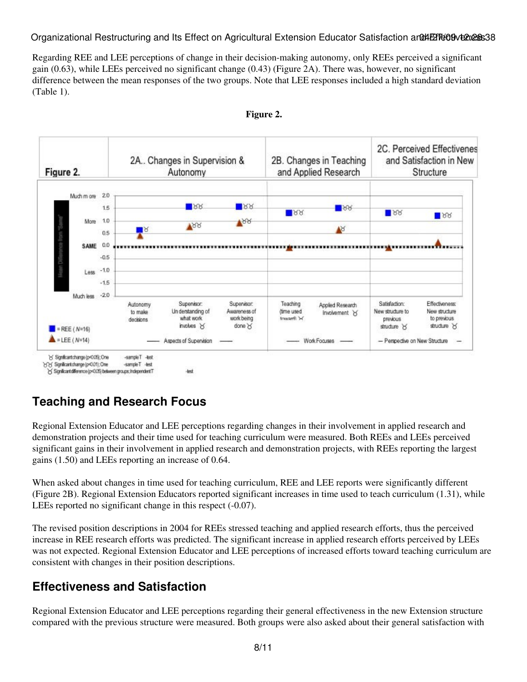Organizational Restructuring and Its Effect on Agricultural Extension Educator Satisfaction and Effectiveness 38

Regarding REE and LEE perceptions of change in their decision-making autonomy, only REEs perceived a significant gain (0.63), while LEEs perceived no significant change (0.43) (Figure 2A). There was, however, no significant difference between the mean responses of the two groups. Note that LEE responses included a high standard deviation (Table 1).



#### **Figure 2.**

### **Teaching and Research Focus**

Regional Extension Educator and LEE perceptions regarding changes in their involvement in applied research and demonstration projects and their time used for teaching curriculum were measured. Both REEs and LEEs perceived significant gains in their involvement in applied research and demonstration projects, with REEs reporting the largest gains (1.50) and LEEs reporting an increase of 0.64.

When asked about changes in time used for teaching curriculum, REE and LEE reports were significantly different (Figure 2B). Regional Extension Educators reported significant increases in time used to teach curriculum (1.31), while LEEs reported no significant change in this respect  $(-0.07)$ .

The revised position descriptions in 2004 for REEs stressed teaching and applied research efforts, thus the perceived increase in REE research efforts was predicted. The significant increase in applied research efforts perceived by LEEs was not expected. Regional Extension Educator and LEE perceptions of increased efforts toward teaching curriculum are consistent with changes in their position descriptions.

### **Effectiveness and Satisfaction**

Regional Extension Educator and LEE perceptions regarding their general effectiveness in the new Extension structure compared with the previous structure were measured. Both groups were also asked about their general satisfaction with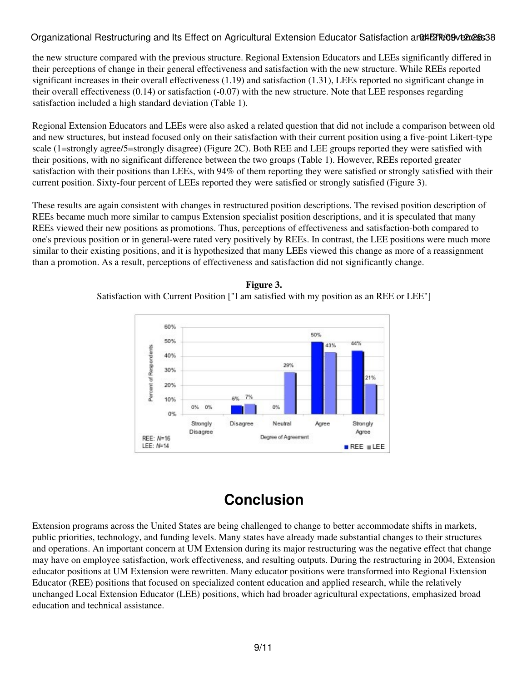#### Organizational Restructuring and Its Effect on Agricultural Extension Educator Satisfaction and AET609 12:28:38

the new structure compared with the previous structure. Regional Extension Educators and LEEs significantly differed in their perceptions of change in their general effectiveness and satisfaction with the new structure. While REEs reported significant increases in their overall effectiveness (1.19) and satisfaction (1.31), LEEs reported no significant change in their overall effectiveness (0.14) or satisfaction (-0.07) with the new structure. Note that LEE responses regarding satisfaction included a high standard deviation (Table 1).

Regional Extension Educators and LEEs were also asked a related question that did not include a comparison between old and new structures, but instead focused only on their satisfaction with their current position using a five-point Likert-type scale (1=strongly agree/5=strongly disagree) (Figure 2C). Both REE and LEE groups reported they were satisfied with their positions, with no significant difference between the two groups (Table 1). However, REEs reported greater satisfaction with their positions than LEEs, with 94% of them reporting they were satisfied or strongly satisfied with their current position. Sixty-four percent of LEEs reported they were satisfied or strongly satisfied (Figure 3).

These results are again consistent with changes in restructured position descriptions. The revised position description of REEs became much more similar to campus Extension specialist position descriptions, and it is speculated that many REEs viewed their new positions as promotions. Thus, perceptions of effectiveness and satisfaction-both compared to one's previous position or in general-were rated very positively by REEs. In contrast, the LEE positions were much more similar to their existing positions, and it is hypothesized that many LEEs viewed this change as more of a reassignment than a promotion. As a result, perceptions of effectiveness and satisfaction did not significantly change.



#### **Figure 3.**

Satisfaction with Current Position ["I am satisfied with my position as an REE or LEE"]

## **Conclusion**

Extension programs across the United States are being challenged to change to better accommodate shifts in markets, public priorities, technology, and funding levels. Many states have already made substantial changes to their structures and operations. An important concern at UM Extension during its major restructuring was the negative effect that change may have on employee satisfaction, work effectiveness, and resulting outputs. During the restructuring in 2004, Extension educator positions at UM Extension were rewritten. Many educator positions were transformed into Regional Extension Educator (REE) positions that focused on specialized content education and applied research, while the relatively unchanged Local Extension Educator (LEE) positions, which had broader agricultural expectations, emphasized broad education and technical assistance.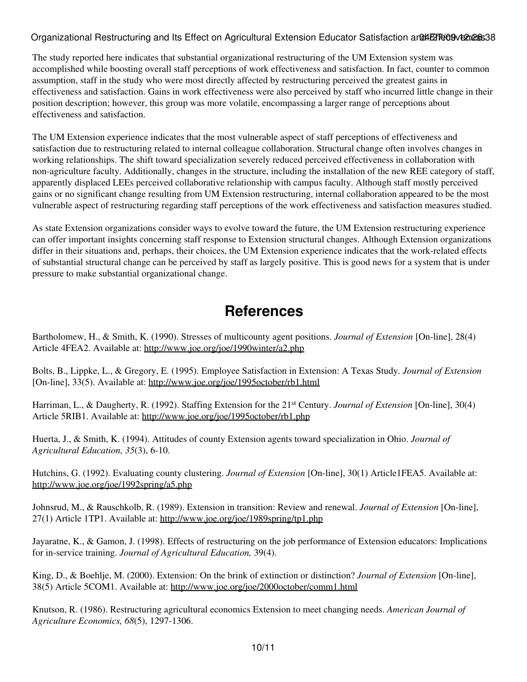#### Organizational Restructuring and Its Effect on Agricultural Extension Educator Satisfaction and AET609 12:28:38

The study reported here indicates that substantial organizational restructuring of the UM Extension system was accomplished while boosting overall staff perceptions of work effectiveness and satisfaction. In fact, counter to common assumption, staff in the study who were most directly affected by restructuring perceived the greatest gains in effectiveness and satisfaction. Gains in work effectiveness were also perceived by staff who incurred little change in their position description; however, this group was more volatile, encompassing a larger range of perceptions about effectiveness and satisfaction.

The UM Extension experience indicates that the most vulnerable aspect of staff perceptions of effectiveness and satisfaction due to restructuring related to internal colleague collaboration. Structural change often involves changes in working relationships. The shift toward specialization severely reduced perceived effectiveness in collaboration with non-agriculture faculty. Additionally, changes in the structure, including the installation of the new REE category of staff, apparently displaced LEEs perceived collaborative relationship with campus faculty. Although staff mostly perceived gains or no significant change resulting from UM Extension restructuring, internal collaboration appeared to be the most vulnerable aspect of restructuring regarding staff perceptions of the work effectiveness and satisfaction measures studied.

As state Extension organizations consider ways to evolve toward the future, the UM Extension restructuring experience can offer important insights concerning staff response to Extension structural changes. Although Extension organizations differ in their situations and, perhaps, their choices, the UM Extension experience indicates that the work-related effects of substantial structural change can be perceived by staff as largely positive. This is good news for a system that is under pressure to make substantial organizational change.

### **References**

Bartholomew, H., & Smith, K. (1990). Stresses of multicounty agent positions. *Journal of Extension* [On-line], 28(4) Article 4FEA2. Available at:<http://www.joe.org/joe/1990winter/a2.php>

Bolts, B., Lippke, L., & Gregory, E. (1995). Employee Satisfaction in Extension: A Texas Study. *Journal of Extension* [On-line], 33(5). Available at: <http://www.joe.org/joe/1995october/rb1.html>

Harriman, L., & Daugherty, R. (1992). Staffing Extension for the 21st Century. *Journal of Extension* [On-line], 30(4) Article 5RIB1. Available at: <http://www.joe.org/joe/1995october/rb1.php>

Huerta, J., & Smith, K. (1994). Attitudes of county Extension agents toward specialization in Ohio. *Journal of Agricultural Education, 35*(3), 6-10.

Hutchins, G. (1992). Evaluating county clustering. *Journal of Extension* [On-line], 30(1) Article1FEA5. Available at: <http://www.joe.org/joe/1992spring/a5.php>

Johnsrud, M., & Rauschkolb, R. (1989). Extension in transition: Review and renewal. *Journal of Extension* [On-line], 27(1) Article 1TP1. Available at:<http://www.joe.org/joe/1989spring/tp1.php>

Jayaratne, K., & Gamon, J. (1998). Effects of restructuring on the job performance of Extension educators: Implications for in-service training. *Journal of Agricultural Education,* 39(4).

King, D., & Boehlje, M. (2000). Extension: On the brink of extinction or distinction? *Journal of Extension* [On-line], 38(5) Article 5COM1. Available at:<http://www.joe.org/joe/2000october/comm1.html>

Knutson, R. (1986). Restructuring agricultural economics Extension to meet changing needs. *American Journal of Agriculture Economics, 68*(5), 1297-1306.